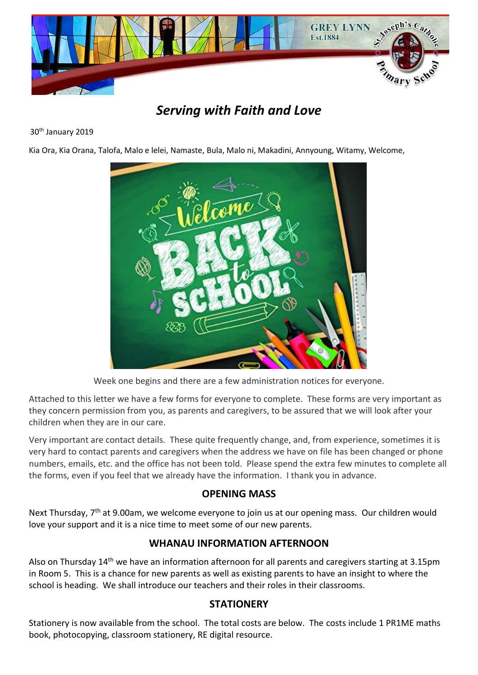

# *Serving with Faith and Love*

#### 30th January 2019

Kia Ora, Kia Orana, Talofa, Malo e lelei, Namaste, Bula, Malo ni, Makadini, Annyoung, Witamy, Welcome,



Week one begins and there are a few administration notices for everyone.

Attached to this letter we have a few forms for everyone to complete. These forms are very important as they concern permission from you, as parents and caregivers, to be assured that we will look after your children when they are in our care.

Very important are contact details. These quite frequently change, and, from experience, sometimes it is very hard to contact parents and caregivers when the address we have on file has been changed or phone numbers, emails, etc. and the office has not been told. Please spend the extra few minutes to complete all the forms, even if you feel that we already have the information. I thank you in advance.

# **OPENING MASS**

Next Thursday, 7<sup>th</sup> at 9.00am, we welcome everyone to join us at our opening mass. Our children would love your support and it is a nice time to meet some of our new parents.

# **WHANAU INFORMATION AFTERNOON**

Also on Thursday 14<sup>th</sup> we have an information afternoon for all parents and caregivers starting at 3.15pm in Room 5. This is a chance for new parents as well as existing parents to have an insight to where the school is heading. We shall introduce our teachers and their roles in their classrooms.

# **STATIONERY**

Stationery is now available from the school. The total costs are below. The costs include 1 PR1ME maths book, photocopying, classroom stationery, RE digital resource.